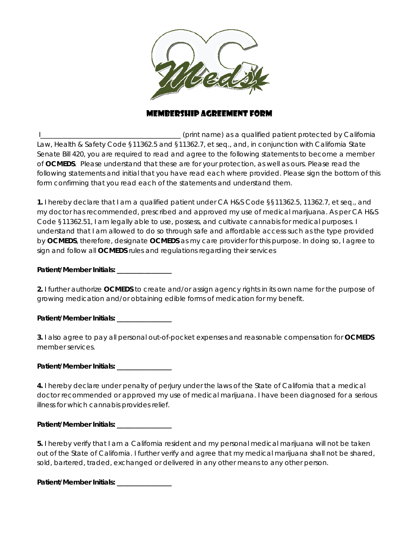

# Membership Agreement FORM

 I\_\_\_\_\_\_\_\_\_\_\_\_\_\_\_\_\_\_\_\_\_\_\_\_\_\_\_\_\_\_\_\_\_\_\_\_\_\_\_\_\_ (print name) as a qualified patient protected by California Law, Health & Safety Code §11362.5 and §11362.7, et seq., and, in conjunction with California State Senate Bill 420, you are required to read and agree to the following statements to become a member of **OCMEDS**. Please understand that these are for your protection, as well as ours. Please read the following statements and initial that you have read each where provided. Please sign the bottom of this form confirming that you read each of the statements and understand them.

**1.** I hereby declare that I am a qualified patient under CA H&S Code §§11362.5, 11362.7, et seq., and my doctor has recommended, prescribed and approved my use of medical marijuana. As per CA H&S Code §11362.51, I am legally able to use, possess, and cultivate cannabis for medical purposes. I understand that I am allowed to do so through safe and affordable access such as the type provided by **OCMEDS**, therefore, designate **OCMEDS** as my care provider for this purpose. In doing so, I agree to sign and follow all **OCMEDS** rules and regulations regarding their services

#### **Patient/Member Initials: \_\_\_\_\_\_\_\_\_\_\_\_\_\_\_\_**

**2.** I further authorize **OCMEDS** to create and/or assign agency rights in its own name for the purpose of growing medication and/or obtaining edible forms of medication for my benefit.

**Patient/Member Initials: \_\_\_\_\_\_\_\_\_\_\_\_\_\_\_\_** 

**3.** I also agree to pay all personal out-of-pocket expenses and reasonable compensation for **OCMEDS**  member services.

**Patient/Member Initials: \_\_\_\_\_\_\_\_\_\_\_\_\_\_\_\_** 

**4.** I hereby declare under penalty of perjury under the laws of the State of California that a medical doctor recommended or approved my use of medical marijuana. I have been diagnosed for a serious illness for which cannabis provides relief.

### Patient/Member Initials:

**5.** I hereby verify that I am a California resident and my personal medical marijuana will not be taken out of the State of California. I further verify and agree that my medical marijuana shall not be shared, sold, bartered, traded, exchanged or delivered in any other means to any other person.

**Patient/Member Initials: \_\_\_\_\_\_\_\_\_\_\_\_\_\_\_\_**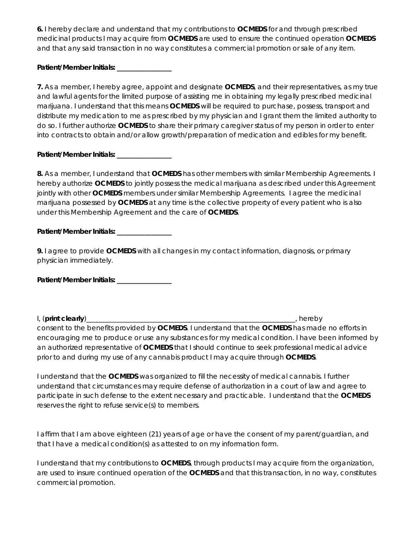**6.** I hereby declare and understand that my contributions to **OCMEDS** for and through prescribed medicinal products I may acquire from **OCMEDS** are used to ensure the continued operation **OCMEDS**  and that any said transaction in no way constitutes a commercial promotion or sale of any item.

# **Patient/Member Initials: \_\_\_\_\_\_\_\_\_\_\_\_\_\_\_\_**

**7.** As a member, I hereby agree, appoint and designate **OCMEDS**, and their representatives, as my true and lawful agents for the limited purpose of assisting me in obtaining my legally prescribed medicinal marijuana. I understand that this means **OCMEDS** will be required to purchase, possess, transport and distribute my medication to me as prescribed by my physician and I grant them the limited authority to do so. I further authorize **OCMEDS** to share their primary caregiver status of my person in order to enter into contracts to obtain and/or allow growth/preparation of medication and edibles for my benefit.

### **Patient/Member Initials: \_\_\_\_\_\_\_\_\_\_\_\_\_\_\_\_**

**8.** As a member, I understand that **OCMEDS** has other members with similar Membership Agreements. I hereby authorize **OCMEDS** to jointly possess the medical marijuana as described under this Agreement jointly with other **OCMEDS** members under similar Membership Agreements. I agree the medicinal marijuana possessed by **OCMEDS** at any time is the collective property of every patient who is also under this Membership Agreement and the care of **OCMEDS**.

### **Patient/Member Initials: \_\_\_\_\_\_\_\_\_\_\_\_\_\_\_\_**

**9.** I agree to provide **OCMEDS** with all changes in my contact information, diagnosis, or primary physician immediately.

Patient/Member Initials: **\_\_\_\_\_\_\_\_\_\_\_\_\_** 

I, (**print clearly**)\_\_\_\_\_\_\_\_\_\_\_\_\_\_\_\_\_\_\_\_\_\_\_\_\_\_\_\_\_\_\_\_\_\_\_\_\_\_\_\_\_\_\_\_\_\_\_\_\_\_\_\_\_\_\_\_\_\_\_\_\_, hereby consent to the benefits provided by **OCMEDS**. I understand that the **OCMEDS** has made no efforts in encouraging me to produce or use any substances for my medical condition. I have been informed by an authorized representative of **OCMEDS** that I should continue to seek professional medical advice prior to and during my use of any cannabis product I may acquire through **OCMEDS**.

I understand that the **OCMEDS** was organized to fill the necessity of medical cannabis. I further understand that circumstances may require defense of authorization in a court of law and agree to participate in such defense to the extent necessary and practicable. I understand that the **OCMEDS**  reserves the right to refuse service(s) to members.

I affirm that I am above eighteen (21) years of age or have the consent of my parent/guardian, and that I have a medical condition(s) as attested to on my information form.

I understand that my contributions to **OCMEDS**, through products I may acquire from the organization, are used to insure continued operation of the **OCMEDS** and that this transaction, in no way, constitutes commercial promotion.